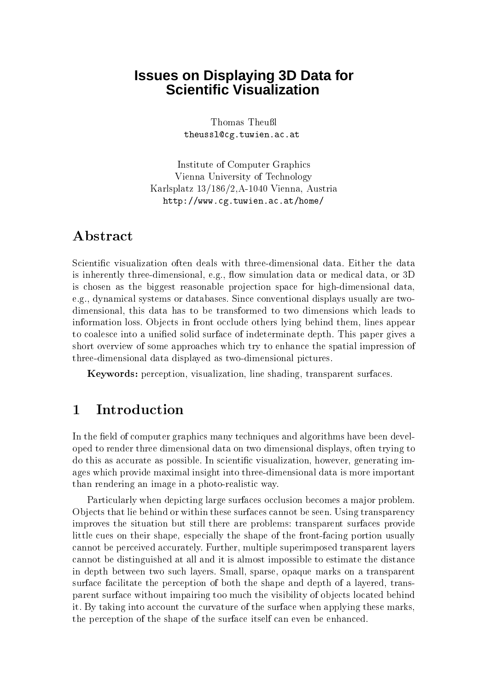## **Issues on Displaying 3D Data for Scientific Visualization**

theussl@cg.tuwien.ac.at

Institute of Computer Graphics Vienna University of Technology Karlsplatz 13/186/2,A-1040 Vienna, Austria http://www.cg.tuwien.ac.at/home/

## Abstract

Scientific visualization often deals with three-dimensional data. Either the data is inherently three-dimensional, e.g., flow simulation data or medical data, or 3D is chosen as the biggest reasonable projection space for high-dimensional data. e.g., dynamical systems or databases. Since conventional displays usually are twodimensional, this data has to be transformed to two dimensions which leads to information loss. Objects in front occlude others lying behind them, lines appear to coalesce into a unied solid surface of indeterminate depth. This paper gives a short overview of some approaches which try to enhance the spatial impression of three-dimensional data displayed as two-dimensional pictures.

Keywords: perception, visualization, line shading, transparent surfaces.

## 1 Introduction

In the field of computer graphics many techniques and algorithms have been developed to render three dimensional data on two dimensional displays, often trying to do this as accurate as possible. In scientic visualization, however, generating images which provide maximal insight into three-dimensional data is more important than rendering an image in a photo-realistic way.

Particularly when depicting large surfaces occlusion becomes a ma jor problem. Objects that lie behind or within these surfaces cannot be seen. Using transparency improves the situation but still there are problems: transparent surfaces provide little cues on their shape, especially the shape of the front-facing portion usually cannot be perceived accurately. Further, multiple superimposed transparent layers cannot be distinguished at all and it is almost impossible to estimate the distance in depth between two such layers. Small, sparse, opaque marks on a transparent surface facilitate the perception of both the shape and depth of a layered, transparent surface without impairing too much the visibility of objects located behind it. By taking into account the curvature of the surface when applying these marks, the perception of the shape of the surface itself can even be enhanced.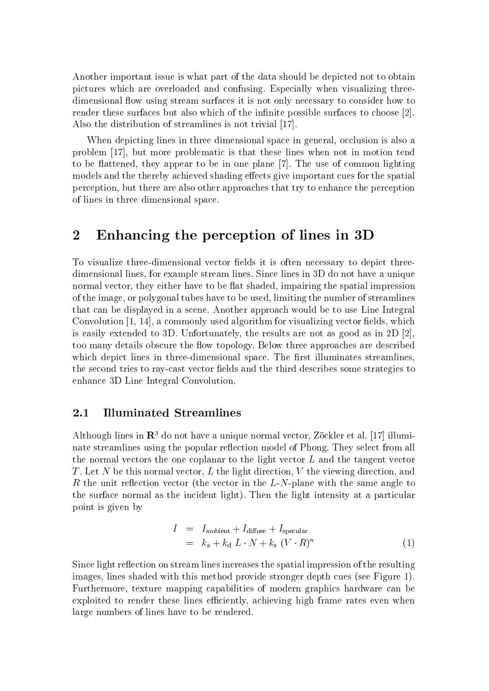Another important issue is what part of the data should be depicted not to obtain pictures which are overloaded and confusing. Especially when visualizing threedimensional flow using stream surfaces it is not only necessary to consider how to render these surfaces but also which of the infinite possible surfaces to choose  $[2]$ . Also the distribution of streamlines is not trivial [17].

When depicting lines in three dimensional space in general, occlusion is also a problem [17], but more problematic is that these lines when not in motion tend to be attened, they appear to be in one plane [7]. The use of common lighting models and the thereby achieved shading effects give important cues for the spatial perception, but there are also other approaches that try to enhance the perception of lines in three dimensional space.

#### 2 Enhancing the perception of lines in 3D  $\overline{2}$

To visualize three-dimensional vector fields it is often necessary to depict threedimensional lines, for example stream lines. Since lines in 3D do not have a unique normal vector, they either have to be 
at shaded, impairing the spatial impression of the image, or polygonal tubes have to be used, limiting the number of streamlines that can be displayed in a scene. Another approach would be to use Line Integral Convolution  $[1, 14]$ , a commonly used algorithm for visualizing vector fields, which is easily extended to 3D. Unfortunately, the results are not as good as in 2D [2], too many details obscure the flow topology. Below three approaches are described which depict lines in three-dimensional space. The first illuminates streamlines. the second tries to ray-cast vector fields and the third describes some strategies to enhance 3D Line Integral Convolution.

### 2.1 Illuminated Streamlines

Although lines in  $\mathbb{R}^3$  do not have a unique normal vector, Zöckler et al. [17] illuminate streamlines using the popular reflection model of Phong. They select from all the normal vectors the one coplanar to the light vector <sup>L</sup> and the tangent vector T. Let N be this normal vector, L the light direction, V the viewing direction, and R the unit reflection vector (the vector in the  $L-N$ -plane with the same angle to the surface normal as the incident light). Then the light intensity at a particular point is given by

$$
I = I_{\text{ambient}} + I_{\text{diffuse}} + I_{\text{specular}}
$$
  
=  $k_a + k_d \ L \cdot N + k_s \ (V \cdot R)^n$  (1)

Since light reflection on stream lines increases the spatial impression of the resulting images, lines shaded with this method provide stronger depth cues (see Figure 1). Furthermore, texture mapping capabilities of modern graphics hardware can be exploited to render these lines efficiently, achieving high frame rates even when large numbers of lines have to be rendered.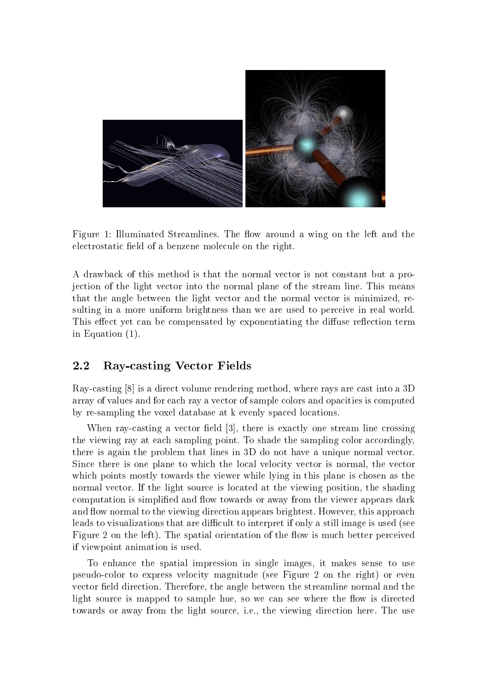

Figure 1: Illuminated Streamlines. The flow around a wing on the left and the electrostatic field of a benzene molecule on the right.

A drawback of this method is that the normal vector is not constant but a projection of the light vector into the normal plane of the stream line. This means that the angle between the light vector and the normal vector is minimized, resulting in a more uniform brightness than we are used to perceive in real world. This effect yet can be compensated by exponentiating the diffuse reflection term in Equation (1).

### 2.2 Ray-casting Vector Fields

Ray-casting [8] is a direct volume rendering method, where rays are cast into a 3D array of values and for each rayavector of sample colors and opacities is computed by re-sampling the voxel database at k evenly spaced locations.

When ray-casting a vector field  $[3]$ , there is exactly one stream line crossing the viewing ray at each sampling point. To shade the sampling color accordingly, there is again the problem that lines in 3D do not have a unique normal vector. Since there is one plane to which the local velocity vector is normal, the vector which points mostly towards the viewer while lying in this plane is chosen as the normal vector. If the light source is located at the viewing position, the shading computation is simplified and flow towards or away from the viewer appears dark and flow normal to the viewing direction appears brightest. However, this approach leads to visualizations that are difficult to interpret if only a still image is used (see Figure 2 on the left). The spatial orientation of the flow is much better perceived if viewpoint animation is used.

To enhance the spatial impression in single images, it makes sense to use pseudo-color to express velocity magnitude (see Figure 2 on the right) or even vector field direction. Therefore, the angle between the streamline normal and the light source is mapped to sample hue, so we can see where the flow is directed towards or away from the light source, i.e., the viewing direction here. The use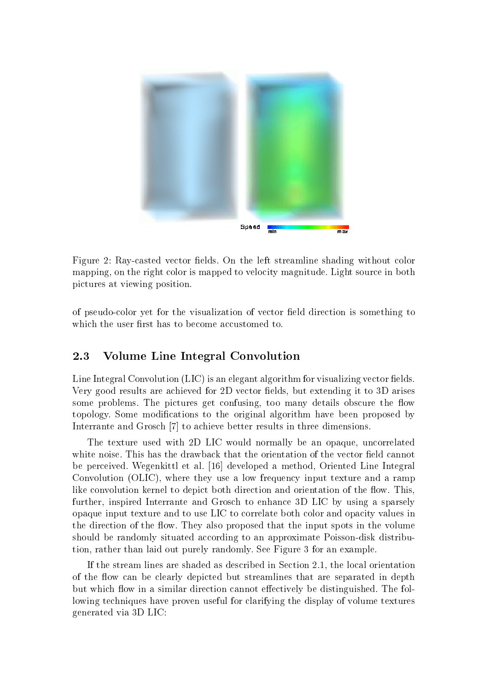

Figure 2: Ray-casted vector fields. On the left streamline shading without color mapping, on the right color is mapped to velocity magnitude. Light source in both pictures at viewing position.

of pseudo-color yet for the visualization of vector field direction is something to which the user first has to become accustomed to.

### 2.3 Volume Line Integral Convolution

Line Integral Convolution  $(LIC)$  is an elegant algorithm for visualizing vector fields. Very good results are achieved for 2D vector fields, but extending it to 3D arises some problems. The pictures get confusing, too many details obscure the flow topology. Some modications to the original algorithm have been proposed by Interrante and Grosch [7] to achieve better results in three dimensions.

The texture used with 2D LIC would normally be an opaque, uncorrelated white noise. This has the drawback that the orientation of the vector field cannot be perceived. Wegenkittl et al. [16] developed a method, Oriented Line Integral Convolution (OLIC), where they use a low frequency input texture and a ramp like convolution kernel to depict both direction and orientation of the flow. This, further, inspired Interrante and Grosch to enhance 3D LIC by using a sparsely opaque input texture and to use LIC to correlate both color and opacity values in the direction of the flow. They also proposed that the input spots in the volume should be randomly situated according to an approximate Poisson-disk distribution, rather than laid out purely randomly. See Figure 3 for an example.

If the stream lines are shaded as described in Section 2.1, the local orientation of the flow can be clearly depicted but streamlines that are separated in depth but which flow in a similar direction cannot effectively be distinguished. The following techniques have proven useful for clarifying the display of volume textures generated via 3D LIC: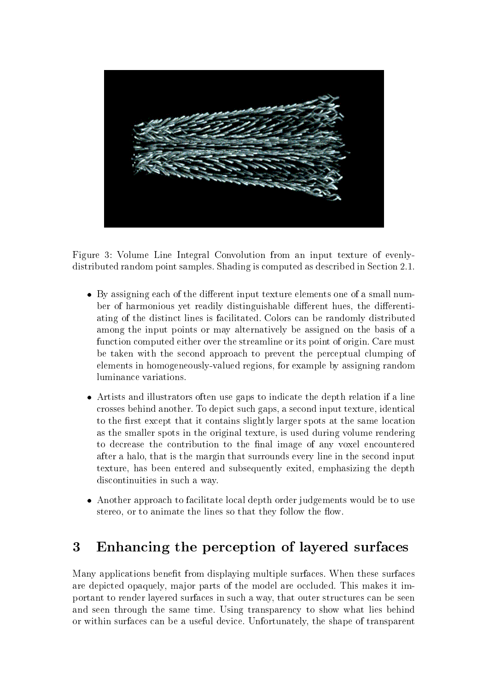

Figure 3: Volume Line Integral Convolution from an input texture of evenlydistributed random point samples. Shading is computed as described in Section 2.1.

- By assigning each of the dierent input texture elements one of a small number of harmonious yet readily distinguishable different hues, the differentiating of the distinct lines is facilitated. Colors can be randomly distributed among the input points or may alternatively be assigned on the basis of a function computed either over the streamline or its point of origin. Care must be taken with the second approach to prevent the perceptual clumping of elements in homogeneously-valued regions, for example by assigning random luminance variations.
- Artists and illustrators often use gaps to indicate the depth relation if a line crosses behind another. To depict such gaps, a second input texture, identical to the first except that it contains slightly larger spots at the same location as the smaller spots in the original texture, is used during volume rendering to decrease the contribution to the final image of any voxel encountered after a halo, that is the margin that surrounds every line in the second input texture, has been entered and subsequently exited, emphasizing the depth discontinuities in such a way.
- Another approach to facilitate local depth order judgements would be to use stereo, or to animate the lines so that they follow the flow.

# 3 Enhancing the perception of layered surfaces

Many applications benet from displaying multiple surfaces. When these surfaces are depicted opaquely, ma jor parts of the model are occluded. This makes it important to render layered surfaces in such a way, that outer structures can be seen and seen through the same time. Using transparency to show what lies behind or within surfaces can be a useful device. Unfortunately, the shape of transparent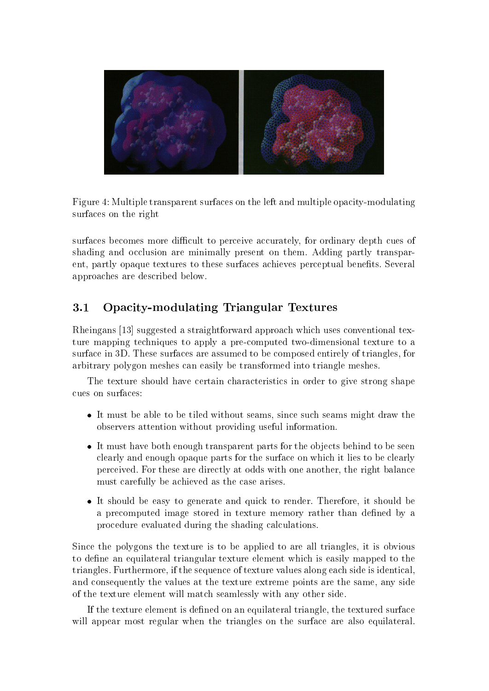

Figure 4: Multiple transparent surfaces on the left and multiple opacity-modulating surfaces on the right

surfaces becomes more difficult to perceive accurately, for ordinary depth cues of shading and occlusion are minimally present on them. Adding partly transparent, partly opaque textures to these surfaces achieves perceptual benets. Several approaches are described below.

### 3.1 3.1 Opacity-modulating Triangular Textures

Rheingans [13] suggested a straightforward approach which uses conventional texture mapping techniques to apply a pre-computed two-dimensional texture to a surface in 3D. These surfaces are assumed to be composed entirely of triangles, for arbitrary polygon meshes can easily be transformed into triangle meshes.

The texture should have certain characteristics in order to give strong shape cues on surfaces:

- It must be able to be tiled without seams, since such seams might draw the observers attention without providing useful information.
- It must have both enough transparent parts for the ob jects behind to be seen clearly and enough opaque parts for the surface on which it lies to be clearly perceived. For these are directly at odds with one another, the right balance must carefully be achieved as the case arises.
- It should be easy to generate and quick to render. Therefore, it should be a precomputed image stored in texture memory rather than defined by a procedure evaluated during the shading calculations.

Since the polygons the texture is to be applied to are all triangles, it is obvious to define an equilateral triangular texture element which is easily mapped to the triangles. Furthermore, if the sequence of texture values along each side is identical, and consequently the values at the texture extreme points are the same, any side of the texture element will match seamlessly with any other side.

If the texture element is defined on an equilateral triangle, the textured surface will appear most regular when the triangles on the surface are also equilateral.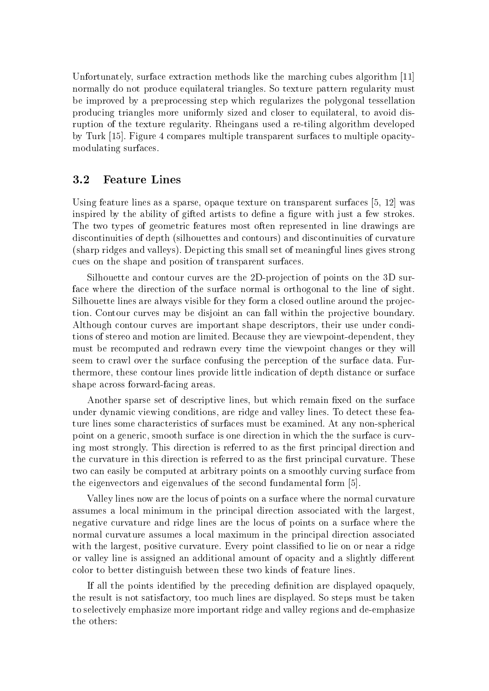Unfortunately, surface extraction methods like the marching cubes algorithm [11] normally do not produce equilateral triangles. So texture pattern regularity must be improved by a preprocessing step which regularizes the polygonal tessellation producing triangles more uniformly sized and closer to equilateral, to avoid disruption of the texture regularity. Rheingans used a re-tiling algorithm developed by Turk [15]. Figure 4 compares multiple transparent surfaces to multiple opacitymodulating surfaces.

### 3.2 Feature Lines

Using feature lines as a sparse, opaque texture on transparent surfaces [5, 12] was inspired by the ability of gifted artists to define a figure with just a few strokes. The two types of geometric features most often represented in line drawings are discontinuities of depth (silhouettes and contours) and discontinuities of curvature (sharp ridges and valleys). Depicting this small set of meaningful lines gives strong cues on the shape and position of transparent surfaces.

Silhouette and contour curves are the 2D-projection of points on the 3D surface where the direction of the surface normal is orthogonal to the line of sight. Silhouette lines are always visible for they form a closed outline around the projection. Contour curves may be disjoint an can fall within the projective boundary. Although contour curves are important shape descriptors, their use under conditions of stereo and motion are limited. Because they are viewpoint-dependent, they must be recomputed and redrawn every time the viewpoint changes or they will seem to crawl over the surface confusing the perception of the surface data. Furthermore, these contour lines provide little indication of depth distance or surface shape across forward-facing areas.

Another sparse set of descriptive lines, but which remain fixed on the surface under dynamic viewing conditions, are ridge and valley lines. To detect these feature lines some characteristics of surfaces must be examined. At any non-spherical point on a generic, smooth surface is one direction in which the the surface is curving most strongly. This direction is referred to as the first principal direction and the curvature in this direction is referred to as the first principal curvature. These two can easily be computed at arbitrary points on a smoothly curving surface from the eigenvectors and eigenvalues of the second fundamental form [5].

Valley lines now are the locus of points on a surface where the normal curvature assumes a local minimum in the principal direction associated with the largest, negative curvature and ridge lines are the locus of points on a surface where the normal curvature assumes a local maximum in the principal direction associated with the largest, positive curvature. Every point classified to lie on or near a ridge or valley line is assigned an additional amount of opacity and a slightly different color to better distinguish between these two kinds of feature lines.

If all the points identied by the preceding denition are displayed opaquely, the result is not satisfactory, too much lines are displayed. So steps must be taken to selectively emphasize more important ridge and valley regions and de-emphasize the others: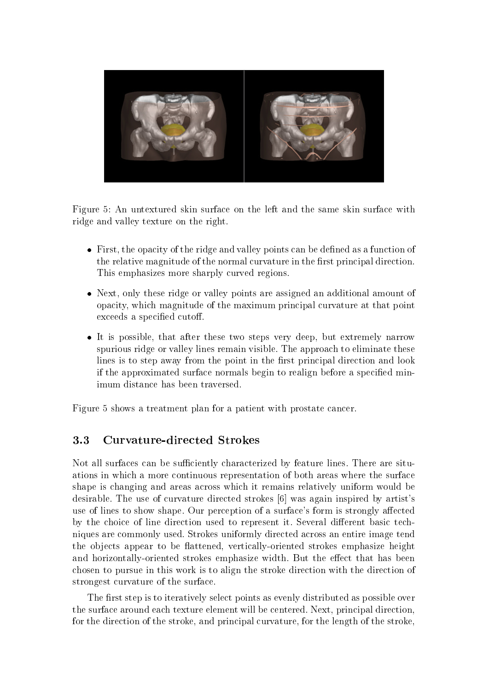

Figure 5: An untextured skin surface on the left and the same skin surface with ridge and valley texture on the right.

- First, the opacity of the ridge and valley points can be dened as a function of the relative magnitude of the normal curvature in the first principal direction. This emphasizes more sharply curved regions.
- Next, only these ridge or valley points are assigned an additional amount of opacity, which magnitude of the maximum principal curvature at that point exceeds a specified cutoff.
- It is possible, that after these two steps very deep, but the contract of the steps of the steps of the steps o spurious ridge or valley lines remain visible. The approach to eliminate these lines is to step away from the point in the first principal direction and look if the approximated surface normals begin to realign before a specied minimum distance has been traversed.

Figure 5 shows a treatment plan for a patient with prostate cancer.

Not all surfaces can be sufficiently characterized by feature lines. There are situations in which a more continuous representation of both areas where the surface shape is changing and areas across which it remains relatively uniform would be desirable. The use of curvature directed strokes [6] was again inspired by artist's use of lines to show shape. Our perception of a surface's form is strongly affected by the choice of line direction used to represent it. Several different basic techniques are commonly used. Strokes uniformly directed across an entire image tend the objects appear to be flattened, vertically-oriented strokes emphasize height and horizontally-oriented strokes emphasize width. But the effect that has been chosen to pursue in this work is to align the stroke direction with the direction of strongest curvature of the surface.

The first step is to iteratively select points as evenly distributed as possible over the surface around each texture element will be centered. Next, principal direction, for the direction of the stroke, and principal curvature, for the length of the stroke,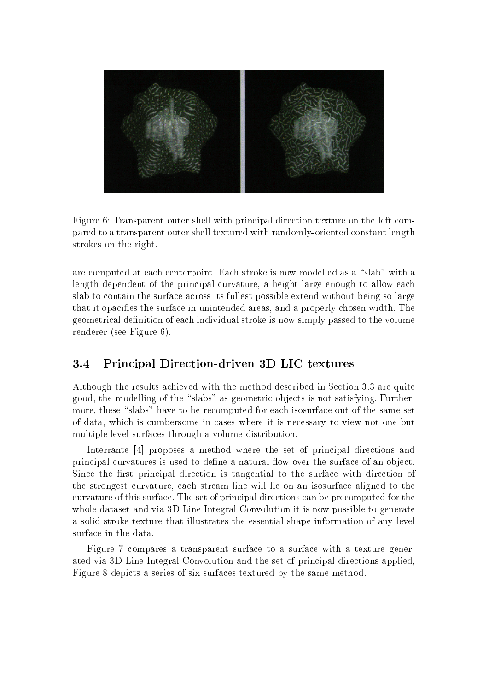

Figure 6: Transparent outer shell with principal direction texture on the left compared to a transparent outer shell textured with randomly-oriented constant length strokes on the right.

are computed at each centerpoint. Each stroke is now modelled as a "slab" with a length dependent of the principal curvature, a height large enough to allow each slab to contain the surface across its fullest possible extend without being so large that it opacifies the surface in unintended areas, and a properly chosen width. The geometrical definition of each individual stroke is now simply passed to the volume renderer (see Figure 6).

### 3.4 Principal Direction-driven 3D LIC textures

Although the results achieved with the method described in Section 3.3 are quite good, the modelling of the \slabs" as geometric ob jects is not satisfying. Furthermore, these "slabs" have to be recomputed for each isosurface out of the same set of data, which is cumbersome in cases where it is necessary to view not one but multiple level surfaces through a volume distribution.

Interrante [4] proposes a method where the set of principal directions and principal curvatures is used to define a natural flow over the surface of an object. Since the first principal direction is tangential to the surface with direction of the strongest curvature, each stream line will lie on an isosurface aligned to the curvature of this surface. The set of principal directions can be precomputed for the whole dataset and via 3D Line Integral Convolution it is now possible to generate a solid stroke texture that illustrates the essential shape information of any level surface in the data.

Figure 7 compares a transparent surface to a surface with a texture generated via 3D Line Integral Convolution and the set of principal directions applied, Figure 8 depicts a series of six surfaces textured by the same method.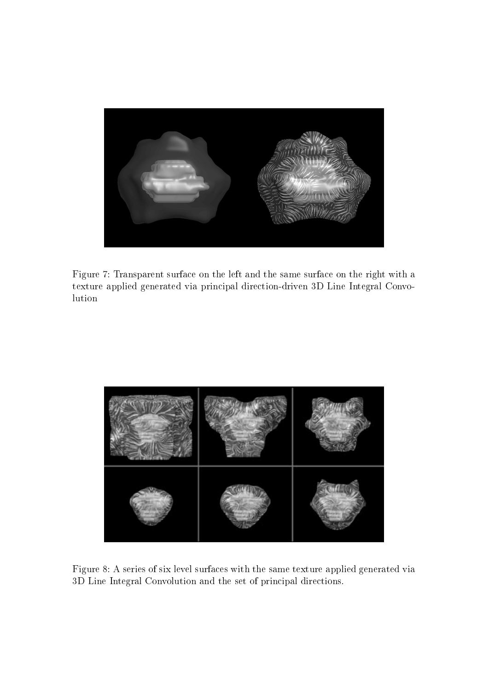

Figure 7: Transparent surface on the left and the same surface on the right with a texture applied generated via principal direction-driven 3D Line Integral Convolution



Figure 8: A series of six level surfaces with the same texture applied generated via 3D Line Integral Convolution and the set of principal directions.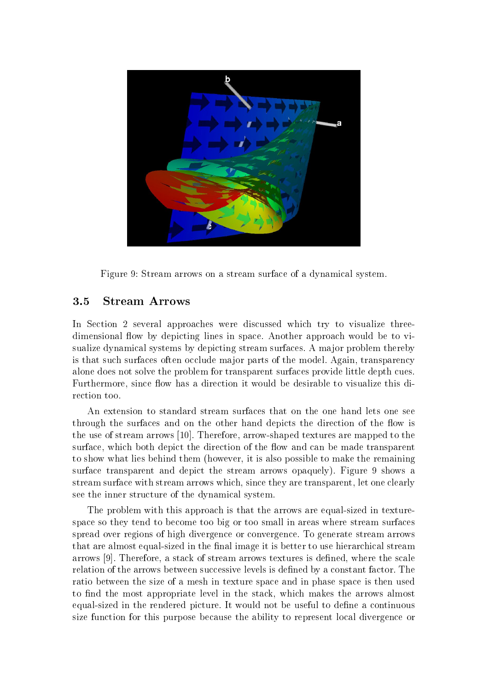

Figure 9: Stream arrows on a stream surface of a dynamical system.

#### 3.5 **Stream Arrows**

In Section 2 several approaches were discussed which try to visualize threedimensional flow by depicting lines in space. Another approach would be to visualize dynamical systems by depicting stream surfaces. A major problem thereby is that such surfaces often occlude ma jor parts of the model. Again, transparency alone does not solve the problem for transparent surfaces provide little depth cues. Furthermore, since flow has a direction it would be desirable to visualize this direction too.

An extension to standard stream surfaces that on the one hand lets one see through the surfaces and on the other hand depicts the direction of the flow is the use of stream arrows [10]. Therefore, arrow-shaped textures are mapped to the surface, which both depict the direction of the flow and can be made transparent to show what lies behind them (however, it is also possible to make the remaining surface transparent and depict the stream arrows opaquely). Figure 9 shows a stream surface with stream arrows which, since they are transparent, let one clearly see the inner structure of the dynamical system.

The problem with this approach is that the arrows are equal-sized in texturespace so they tend to become too big or too small in areas where stream surfaces spread over regions of high divergence or convergence. To generate stream arrows that are almost equal-sized in the final image it is better to use hierarchical stream arrows  $[9]$ . Therefore, a stack of stream arrows textures is defined, where the scale relation of the arrows between successive levels is defined by a constant factor. The ratio between the size of a mesh in texture space and in phase space is then used to find the most appropriate level in the stack, which makes the arrows almost equal-sized in the rendered picture. It would not be useful to define a continuous size function for this purpose because the ability to represent local divergence or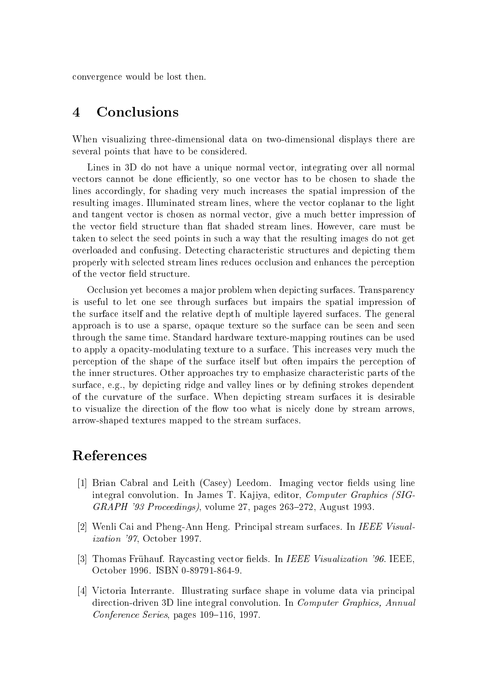convergence would be lost then.

## $\overline{\mathcal{A}}$

When visualizing three-dimensional data on two-dimensional displays there are several points that have to be considered.

Lines in 3D do not have a unique normal vector, integrating over all normal vectors cannot be done efficiently, so one vector has to be chosen to shade the lines accordingly, for shading very much increases the spatial impression of the resulting images. Illuminated stream lines, where the vector coplanar to the light and tangent vector is chosen as normal vector, give a much better impression of the vector field structure than flat shaded stream lines. However, care must be taken to select the seed points in such a way that the resulting images do not get overloaded and confusing. Detecting characteristic structures and depicting them properly with selected stream lines reduces occlusion and enhances the perception of the vector field structure.

Occlusion yet becomes a ma jor problem when depicting surfaces. Transparency is useful to let one see through surfaces but impairs the spatial impression of the surface itself and the relative depth of multiple layered surfaces. The general approach is to use a sparse, opaque texture so the surface can be seen and seen through the same time. Standard hardware texture-mapping routines can be used to apply a opacity-modulating texture to a surface. This increases very much the perception of the shape of the surface itself but often impairs the perception of the inner structures. Other approaches try to emphasize characteristic parts of the surface, e.g., by depicting ridge and valley lines or by defining strokes dependent of the curvature of the surface. When depicting stream surfaces it is desirable to visualize the direction of the flow too what is nicely done by stream arrows, arrow-shaped textures mapped to the stream surfaces.

## References

- [1] Brian Cabral and Leith (Casey) Leedom. Imaging vector fields using line integral convolution. In James T. Kajiya, editor, *Computer Graphics (SIG-* $GRAPH$  '93 Proceedings), volume 27, pages 263-272, August 1993.
- [2] Wenli Cai and Pheng-Ann Heng. Principal stream surfaces. In IEEE Visualization '97, October 1997.
- [3] Thomas Frühauf. Raycasting vector fields. In IEEE Visualization '96. IEEE. October 1996. ISBN 0-89791-864-9.
- [4] Victoria Interrante. Illustrating surface shape in volume data via principal direction-driven 3D line integral convolution. In Computer Graphics, Annual  $Conference\ Series, pages\ 109-116, 1997.$